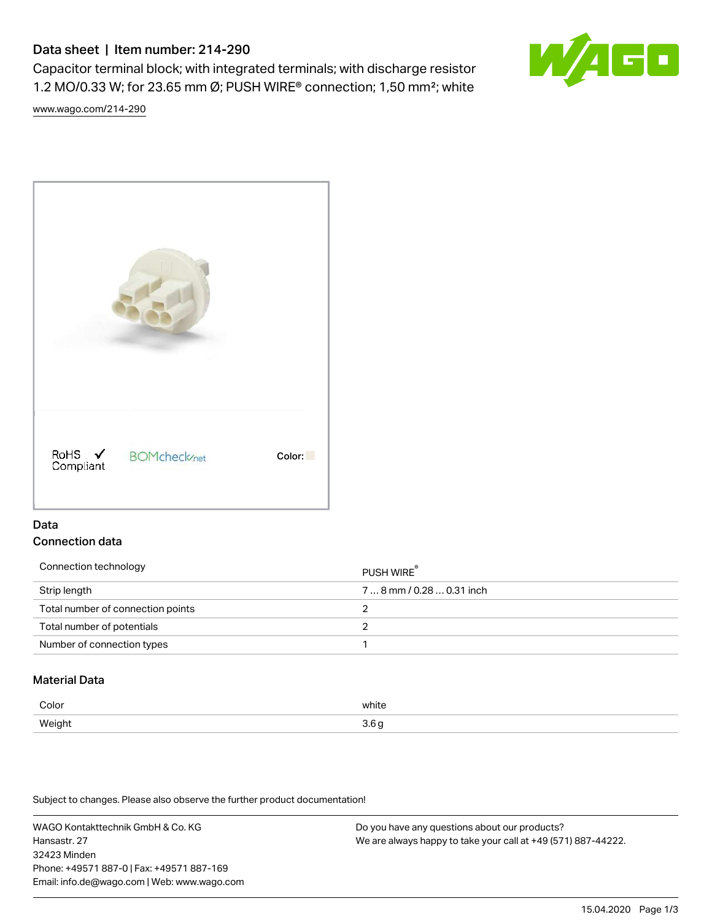# Data sheet | Item number: 214-290

Capacitor terminal block; with integrated terminals; with discharge resistor 1.2 MO/0.33 W; for 23.65 mm Ø; PUSH WIRE® connection; 1,50 mm²; white

[www.wago.com/214-290](http://www.wago.com/214-290)



# Data Connection data

| Connection technology             | PUSH WIRE <sup>®</sup>    |
|-----------------------------------|---------------------------|
| Strip length                      | $78$ mm / 0.28  0.31 inch |
| Total number of connection points |                           |
| Total number of potentials        |                           |
| Number of connection types        |                           |

### Material Data

| Color         | white     |
|---------------|-----------|
| <b>Weight</b> | c         |
| .             | $\ddotsc$ |

Subject to changes. Please also observe the further product documentation!

WAGO Kontakttechnik GmbH & Co. KG Hansastr. 27 32423 Minden Phone: +49571 887-0 | Fax: +49571 887-169 Email: info.de@wago.com | Web: www.wago.com Do you have any questions about our products? We are always happy to take your call at +49 (571) 887-44222.

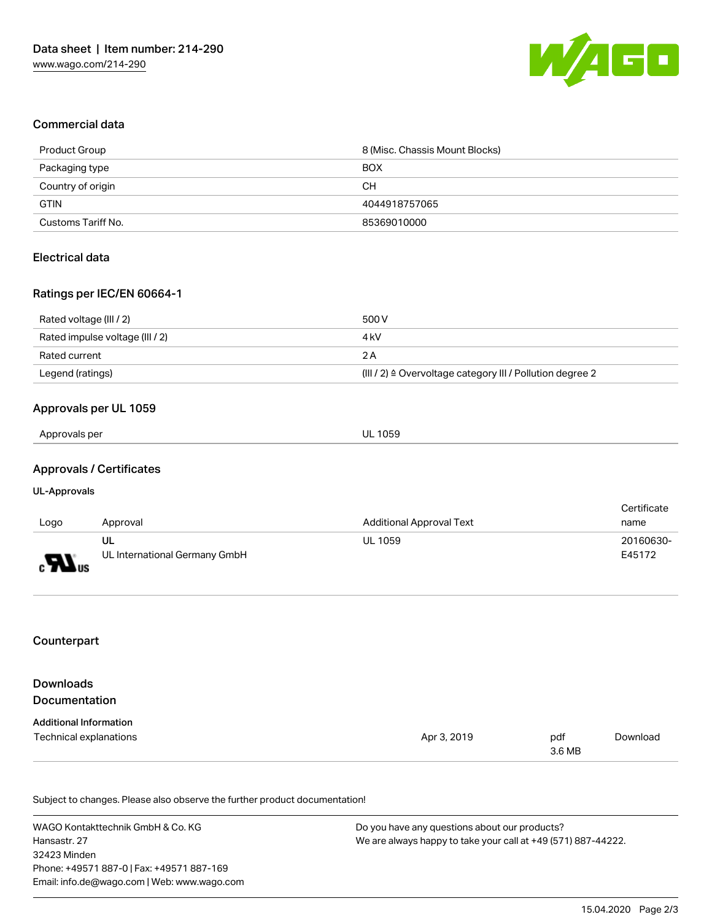

#### Commercial data

| Product Group      | 8 (Misc. Chassis Mount Blocks) |
|--------------------|--------------------------------|
| Packaging type     | <b>BOX</b>                     |
| Country of origin  | CН                             |
| <b>GTIN</b>        | 4044918757065                  |
| Customs Tariff No. | 85369010000                    |

### Electrical data

#### Ratings per IEC/EN 60664-1

| Rated voltage (III / 2)         | 500 V                                                                 |
|---------------------------------|-----------------------------------------------------------------------|
| Rated impulse voltage (III / 2) | 4 kV                                                                  |
| Rated current                   | 2 A                                                                   |
| Legend (ratings)                | $(III / 2)$ $\triangle$ Overvoltage category III / Pollution degree 2 |

# Approvals per UL 1059

### Approvals / Certificates

#### UL-Approvals

|                              |                               |                                 | Certificate |
|------------------------------|-------------------------------|---------------------------------|-------------|
| Logo                         | Approval                      | <b>Additional Approval Text</b> | name        |
|                              | UL                            | <b>UL 1059</b>                  | 20160630-   |
| $\boldsymbol{H}_{\text{us}}$ | UL International Germany GmbH |                                 | E45172      |

#### Counterpart

| <b>Downloads</b>              |             |               |          |
|-------------------------------|-------------|---------------|----------|
| <b>Documentation</b>          |             |               |          |
| <b>Additional Information</b> |             |               |          |
| Technical explanations        | Apr 3, 2019 | pdf<br>3.6 MB | Download |

Subject to changes. Please also observe the further product documentation!

WAGO Kontakttechnik GmbH & Co. KG Hansastr. 27 32423 Minden Phone: +49571 887-0 | Fax: +49571 887-169 Email: info.de@wago.com | Web: www.wago.com Do you have any questions about our products? We are always happy to take your call at +49 (571) 887-44222.